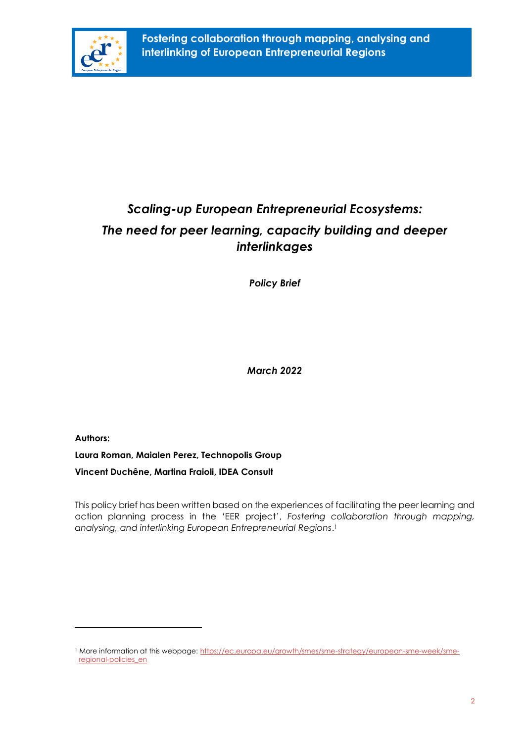

# *Scaling-up European Entrepreneurial Ecosystems: The need for peer learning, capacity building and deeper interlinkages*

*Policy Brief*

*March 2022* 

**Authors:** 

**Laura Roman, Maialen Perez, Technopolis Group**

**Vincent Duchêne, Martina Fraioli, IDEA Consult** 

This policy brief has been written based on the experiences of facilitating the peer learning and action planning process in the 'EER project', *Fostering collaboration through mapping, analysing, and interlinking European Entrepreneurial Regions*. 1

<sup>1</sup> More information at this webpage: [https://ec.europa.eu/growth/smes/sme-strategy/european-sme-week/sme](https://ec.europa.eu/growth/smes/sme-strategy/european-sme-week/sme-regional-policies_en)[regional-policies\\_en](https://ec.europa.eu/growth/smes/sme-strategy/european-sme-week/sme-regional-policies_en)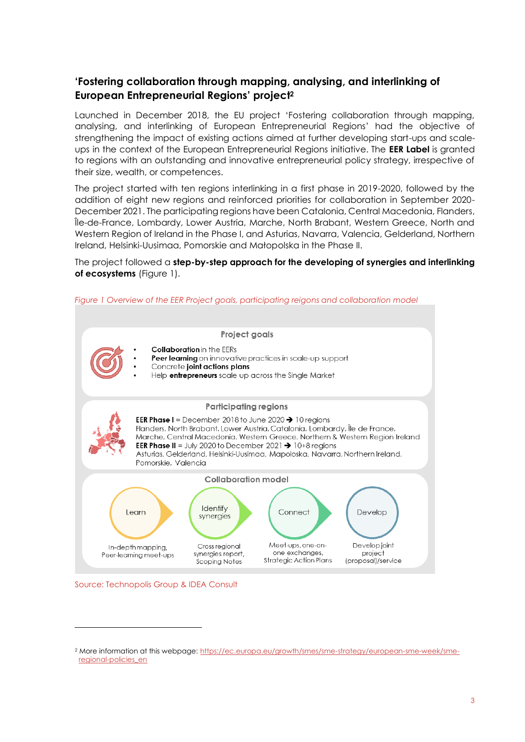# **'Fostering collaboration through mapping, analysing, and interlinking of European Entrepreneurial Regions' project<sup>2</sup>**

Launched in December 2018, the EU project 'Fostering collaboration through mapping, analysing, and interlinking of European Entrepreneurial Regions' had the objective of strengthening the impact of existing actions aimed at further developing start-ups and scaleups in the context of the European Entrepreneurial Regions initiative. The **EER Label** is granted to regions with an outstanding and innovative entrepreneurial policy strategy, irrespective of their size, wealth, or competences.

The project started with ten regions interlinking in a first phase in 2019-2020, followed by the addition of eight new regions and reinforced priorities for collaboration in September 2020- December 2021. The participating regions have been Catalonia, Central Macedonia, Flanders, Île-de-France, Lombardy, Lower Austria, Marche, North Brabant, Western Greece, North and Western Region of Ireland in the Phase I, and Asturias, Navarra, Valencia, Gelderland, Northern Ireland, Helsinki-Uusimaa, Pomorskie and Małopolska in the Phase II.

The project followed a **step-by-step approach for the developing of synergies and interlinking of ecosystems** [\(Figure 1\)](#page-1-0).



<span id="page-1-0"></span>*Figure 1 Overview of the EER Project goals, participating reigons and collaboration model*

Source: Technopolis Group & IDEA Consult

<sup>2</sup> More information at this webpage: [https://ec.europa.eu/growth/smes/sme-strategy/european-sme-week/sme](https://ec.europa.eu/growth/smes/sme-strategy/european-sme-week/sme-regional-policies_en)[regional-policies\\_en](https://ec.europa.eu/growth/smes/sme-strategy/european-sme-week/sme-regional-policies_en)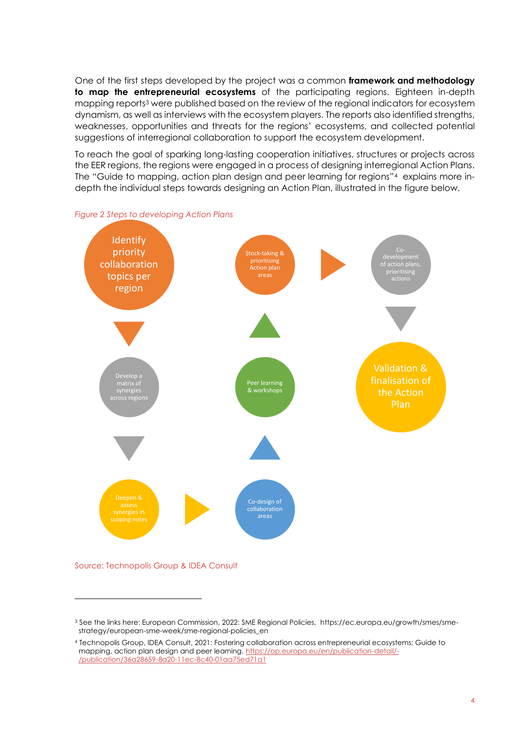One of the first steps developed by the project was a common **framework and methodology to map the entrepreneurial ecosystems** of the participating regions. Eighteen in-depth mapping reports<sup>3</sup> were published based on the review of the regional indicators for ecosystem dynamism, as well as interviews with the ecosystem players. The reports also identified strengths, weaknesses, opportunities and threats for the regions' ecosystems, and collected potential suggestions of interregional collaboration to support the ecosystem development.

To reach the goal of sparking long-lasting cooperation initiatives, structures or projects across the EER regions, the regions were engaged in a process of designing interregional Action Plans. The "Guide to mapping, action plan design and peer learning for regions"<sup>4</sup> explains more indepth the individual steps towards designing an Action Plan, illustrated in the figure below.



*Figure 2 Steps to developing Action Plans*

#### Source: Technopolis Group & IDEA Consult

<sup>3</sup> See the links here: European Commission, 2022: SME Regional Policies, https://ec.europa.eu/growth/smes/smestrategy/european-sme-week/sme-regional-policies\_en

<sup>4</sup> Technopolis Group, IDEA Consult, 2021: Fostering collaboration across entrepreneurial ecosystems: Guide to mapping, action plan design and peer learning[. https://op.europa.eu/en/publication-detail/-](https://op.europa.eu/en/publication-detail/-/publication/36a28659-8a20-11ec-8c40-01aa75ed71a1) [/publication/36a28659-8a20-11ec-8c40-01aa75ed71a1](https://op.europa.eu/en/publication-detail/-/publication/36a28659-8a20-11ec-8c40-01aa75ed71a1)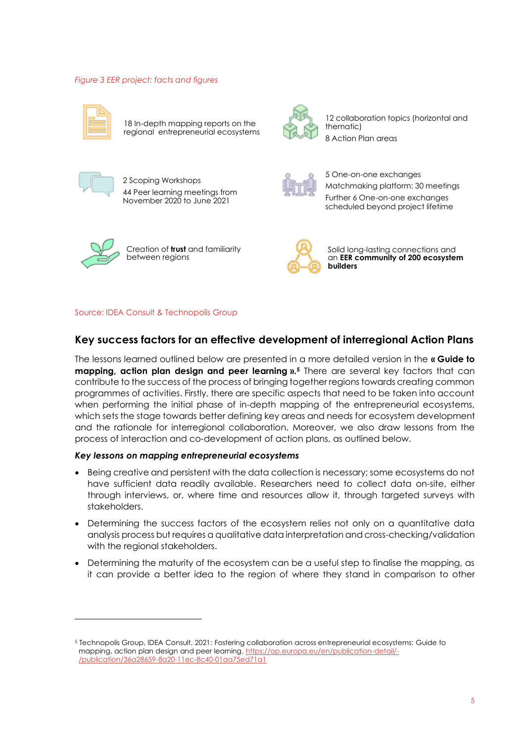## *Figure 3 EER project: facts and figures*



18 In-depth mapping reports on the regional entrepreneurial ecosystems



12 collaboration topics (horizontal and thematic) 8 Action Plan areas



2 Scoping Workshops 44 Peer learning meetings from November 2020 to June 2021



5 One-on-one exchanges Matchmaking platform: 30 meetings Further 6 One-on-one exchanges scheduled beyond project lifetime



Creation of **trust** and familiarity between regions



Solid long-lasting connections and an **EER community of 200 ecosystem builders**

## Source: IDEA Consult & Technopolis Group

# **Key success factors for an effective development of interregional Action Plans**

The lessons learned outlined below are presented in a more detailed version in the **« Guide to mapping, action plan design and peer learning ».<sup>5</sup>** There are several key factors that can contribute to the success of the process of bringing together regions towards creating common programmes of activities. Firstly, there are specific aspects that need to be taken into account when performing the initial phase of in-depth mapping of the entrepreneurial ecosystems, which sets the stage towards better defining key areas and needs for ecosystem development and the rationale for interregional collaboration. Moreover, we also draw lessons from the process of interaction and co-development of action plans, as outlined below.

## *Key lessons on mapping entrepreneurial ecosystems*

- Being creative and persistent with the data collection is necessary; some ecosystems do not have sufficient data readily available. Researchers need to collect data on-site, either through interviews, or, where time and resources allow it, through targeted surveys with stakeholders.
- Determining the success factors of the ecosystem relies not only on a quantitative data analysis process but requires a qualitative data interpretation and cross-checking/validation with the regional stakeholders.
- Determining the maturity of the ecosystem can be a useful step to finalise the mapping, as it can provide a better idea to the region of where they stand in comparison to other

<sup>5</sup> Technopolis Group, IDEA Consult, 2021: Fostering collaboration across entrepreneurial ecosystems: Guide to mapping, action plan design and peer learning[. https://op.europa.eu/en/publication-detail/-](https://op.europa.eu/en/publication-detail/-/publication/36a28659-8a20-11ec-8c40-01aa75ed71a1) [/publication/36a28659-8a20-11ec-8c40-01aa75ed71a1](https://op.europa.eu/en/publication-detail/-/publication/36a28659-8a20-11ec-8c40-01aa75ed71a1)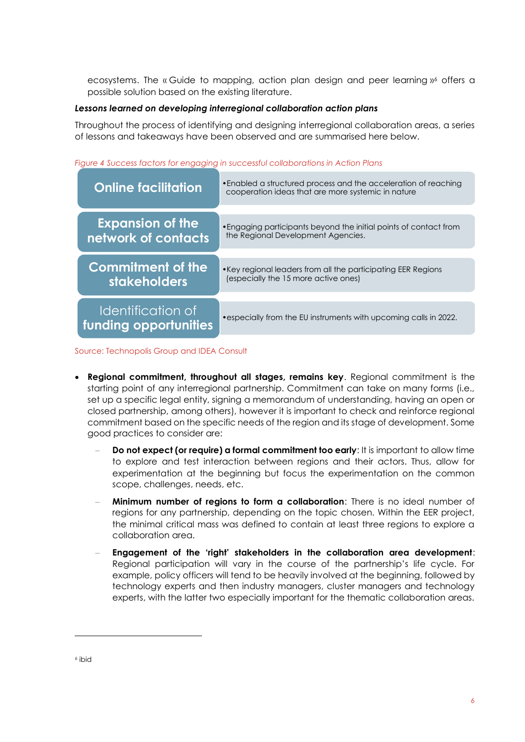ecosystems. The « Guide to mapping, action plan design and peer learning »<sup>6</sup> offers a possible solution based on the existing literature.

# *Lessons learned on developing interregional collaboration action plans*

Throughout the process of identifying and designing interregional collaboration areas, a series of lessons and takeaways have been observed and are summarised here below.

| <b>Online facilitation</b>                 | • Enabled a structured process and the acceleration of reaching<br>cooperation ideas that are more systemic in nature |
|--------------------------------------------|-----------------------------------------------------------------------------------------------------------------------|
| <b>Expansion of the</b>                    | • Engaging participants beyond the initial points of contact from                                                     |
| network of contacts                        | the Regional Development Agencies.                                                                                    |
| <b>Commitment of the</b>                   | • Key regional leaders from all the participating EER Regions                                                         |
| <b>stakeholders</b>                        | (especially the 15 more active ones)                                                                                  |
| Identification of<br>funding opportunities | • especially from the EU instruments with upcoming calls in 2022.                                                     |

# *Figure 4 Success factors for engaging in successful collaborations in Action Plans*

Source: Technopolis Group and IDEA Consult

- **Regional commitment, throughout all stages, remains key**. Regional commitment is the starting point of any interregional partnership. Commitment can take on many forms (i.e., set up a specific legal entity, signing a memorandum of understanding, having an open or closed partnership, among others), however it is important to check and reinforce regional commitment based on the specific needs of the region and its stage of development. Some good practices to consider are:
	- **Do not expect (or require) a formal commitment too early: It is important to allow time** to explore and test interaction between regions and their actors. Thus, allow for experimentation at the beginning but focus the experimentation on the common scope, challenges, needs, etc.
	- **Minimum number of regions to form a collaboration**: There is no ideal number of regions for any partnership, depending on the topic chosen. Within the EER project, the minimal critical mass was defined to contain at least three regions to explore a collaboration area.
	- − **Engagement of the 'right' stakeholders in the collaboration area development**: Regional participation will vary in the course of the partnership's life cycle. For example, policy officers will tend to be heavily involved at the beginning, followed by technology experts and then industry managers, cluster managers and technology experts, with the latter two especially important for the thematic collaboration areas.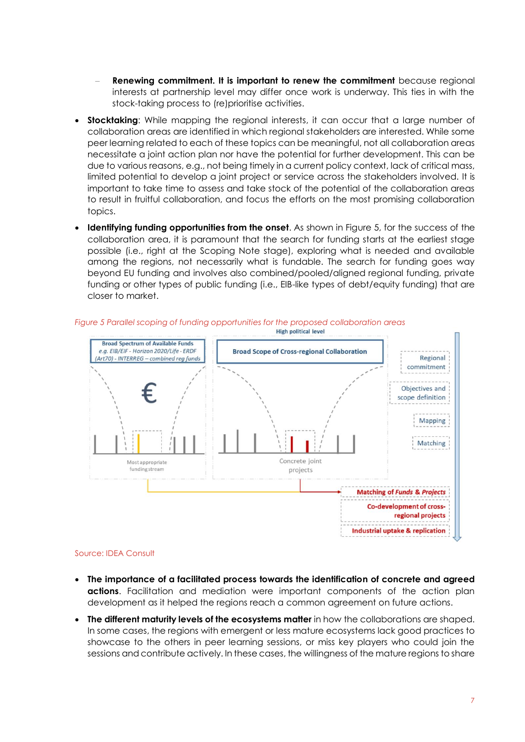- **Renewing commitment. It is important to renew the commitment** because regional interests at partnership level may differ once work is underway. This ties in with the stock-taking process to (re)prioritise activities.
- **Stocktaking**: While mapping the regional interests, it can occur that a large number of collaboration areas are identified in which regional stakeholders are interested. While some peer learning related to each of these topics can be meaningful, not all collaboration areas necessitate a joint action plan nor have the potential for further development. This can be due to various reasons, e.g., not being timely in a current policy context, lack of critical mass, limited potential to develop a joint project or service across the stakeholders involved. It is important to take time to assess and take stock of the potential of the collaboration areas to result in fruitful collaboration, and focus the efforts on the most promising collaboration topics.
- **Identifying funding opportunities from the onset**. As shown in [Figure 5,](#page-5-0) for the success of the collaboration area, it is paramount that the search for funding starts at the earliest stage possible (i.e., right at the Scoping Note stage), exploring what is needed and available among the regions, not necessarily what is fundable. The search for funding goes way beyond EU funding and involves also combined/pooled/aligned regional funding, private funding or other types of public funding (i.e., EIB-like types of debt/equity funding) that are closer to market.



<span id="page-5-0"></span>*Figure 5 Parallel scoping of funding opportunities for the proposed collaboration areas*

#### Source: IDEA Consult

- **The importance of a facilitated process towards the identification of concrete and agreed actions**. Facilitation and mediation were important components of the action plan development as it helped the regions reach a common agreement on future actions.
- **The different maturity levels of the ecosystems matter** in how the collaborations are shaped. In some cases, the regions with emergent or less mature ecosystems lack good practices to showcase to the others in peer learning sessions, or miss key players who could join the sessions and contribute actively. In these cases, the willingness of the mature regions to share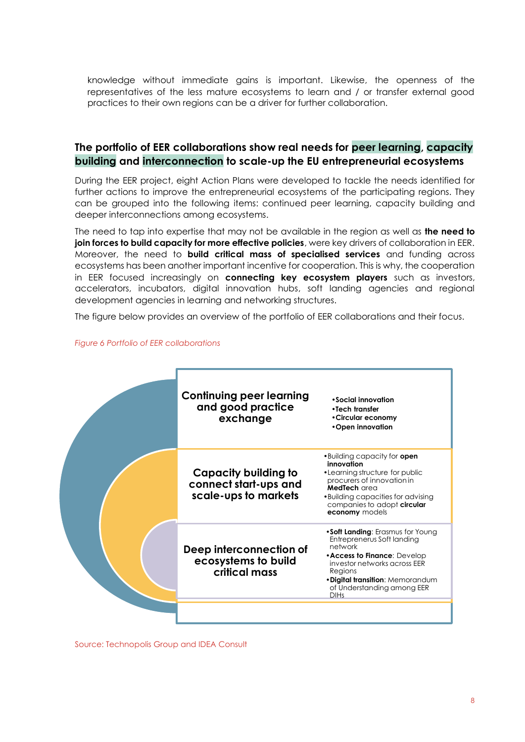knowledge without immediate gains is important. Likewise, the openness of the representatives of the less mature ecosystems to learn and / or transfer external good practices to their own regions can be a driver for further collaboration.

# **The portfolio of EER collaborations show real needs for peer learning, capacity building and interconnection to scale-up the EU entrepreneurial ecosystems**

During the EER project, eight Action Plans were developed to tackle the needs identified for further actions to improve the entrepreneurial ecosystems of the participating regions. They can be grouped into the following items: continued peer learning, capacity building and deeper interconnections among ecosystems.

The need to tap into expertise that may not be available in the region as well as **the need to join forces to build capacity for more effective policies**, were key drivers of collaboration in EER. Moreover, the need to **build critical mass of specialised services** and funding across ecosystems has been another important incentive for cooperation. This is why, the cooperation in EER focused increasingly on **connecting key ecosystem players** such as investors, accelerators, incubators, digital innovation hubs, soft landing agencies and regional development agencies in learning and networking structures.

The figure below provides an overview of the portfolio of EER collaborations and their focus.



## *Figure 6 Portfolio of EER collaborations*

Source: Technopolis Group and IDEA Consult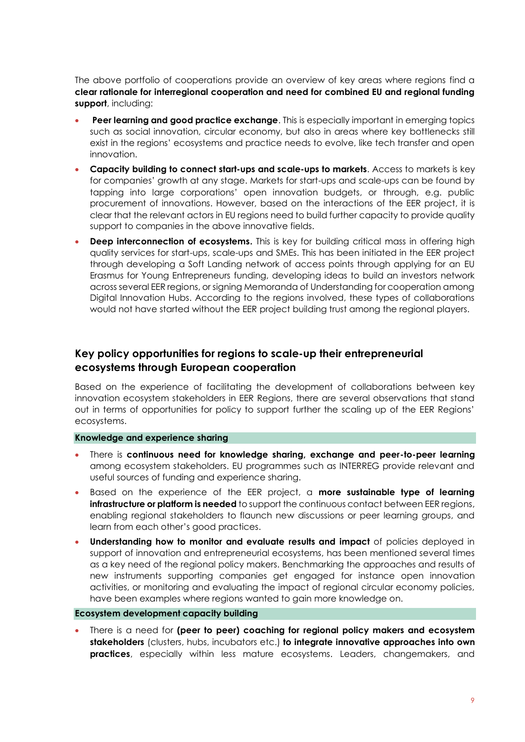The above portfolio of cooperations provide an overview of key areas where regions find a **clear rationale for interregional cooperation and need for combined EU and regional funding support**, including:

- **Peer learning and good practice exchange**. This is especially important in emerging topics such as social innovation, circular economy, but also in areas where key bottlenecks still exist in the regions' ecosystems and practice needs to evolve, like tech transfer and open innovation.
- **Capacity building to connect start-ups and scale-ups to markets**. Access to markets is key for companies' growth at any stage. Markets for start-ups and scale-ups can be found by tapping into large corporations' open innovation budgets, or through, e.g. public procurement of innovations. However, based on the interactions of the EER project, it is clear that the relevant actors in EU regions need to build further capacity to provide quality support to companies in the above innovative fields.
- **Deep interconnection of ecosystems.** This is key for building critical mass in offering high quality services for start-ups, scale-ups and SMEs. This has been initiated in the EER project through developing a Soft Landing network of access points through applying for an EU Erasmus for Young Entrepreneurs funding, developing ideas to build an investors network across several EER regions, or signing Memoranda of Understanding for cooperation among Digital Innovation Hubs. According to the regions involved, these types of collaborations would not have started without the EER project building trust among the regional players.

# **Key policy opportunities for regions to scale-up their entrepreneurial ecosystems through European cooperation**

Based on the experience of facilitating the development of collaborations between key innovation ecosystem stakeholders in EER Regions, there are several observations that stand out in terms of opportunities for policy to support further the scaling up of the EER Regions' ecosystems.

## **Knowledge and experience sharing**

- There is **continuous need for knowledge sharing, exchange and peer-to-peer learning** among ecosystem stakeholders. EU programmes such as INTERREG provide relevant and useful sources of funding and experience sharing.
- Based on the experience of the EER project, a **more sustainable type of learning infrastructure or platform is needed** to support the continuous contact between EER regions, enabling regional stakeholders to flaunch new discussions or peer learning groups, and learn from each other's good practices.
- **Understanding how to monitor and evaluate results and impact** of policies deployed in support of innovation and entrepreneurial ecosystems, has been mentioned several times as a key need of the regional policy makers. Benchmarking the approaches and results of new instruments supporting companies get engaged for instance open innovation activities, or monitoring and evaluating the impact of regional circular economy policies, have been examples where regions wanted to gain more knowledge on.

#### **Ecosystem development capacity building**

• There is a need for **(peer to peer) coaching for regional policy makers and ecosystem stakeholders** (clusters, hubs, incubators etc.) **to integrate innovative approaches into own practices**, especially within less mature ecosystems. Leaders, changemakers, and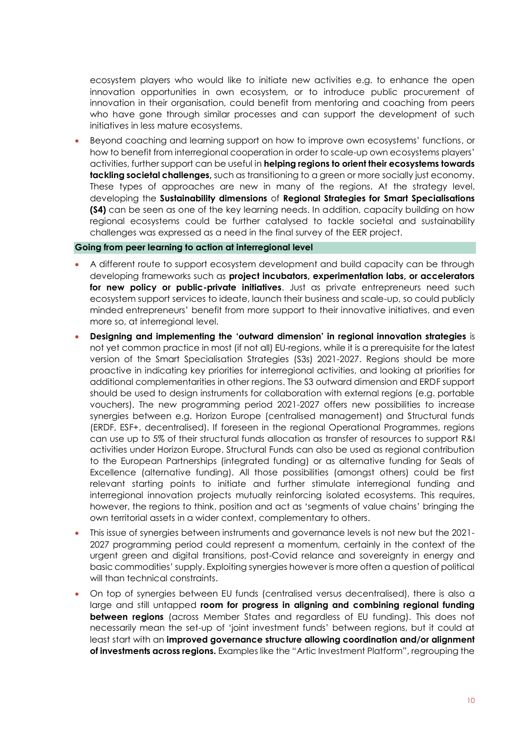ecosystem players who would like to initiate new activities e.g. to enhance the open innovation opportunities in own ecosystem, or to introduce public procurement of innovation in their organisation, could benefit from mentoring and coaching from peers who have gone through similar processes and can support the development of such initiatives in less mature ecosystems.

• Beyond coaching and learning support on how to improve own ecosystems' functions, or how to benefit from interregional cooperation in order to scale-up own ecosystems players' activities, further support can be useful in **helping regions to orient their ecosystems towards tackling societal challenges,** such as transitioning to a green or more socially just economy. These types of approaches are new in many of the regions. At the strategy level, developing the **Sustainability dimensions** of **Regional Strategies for Smart Specialisations (S4)** can be seen as one of the key learning needs. In addition, capacity building on how regional ecosystems could be further catalysed to tackle societal and sustainability challenges was expressed as a need in the final survey of the EER project.

## **Going from peer learning to action at interregional level**

- A different route to support ecosystem development and build capacity can be through developing frameworks such as **project incubators, experimentation labs, or accelerators**  for new policy or public-private initiatives. Just as private entrepreneurs need such ecosystem support services to ideate, launch their business and scale-up, so could publicly minded entrepreneurs' benefit from more support to their innovative initiatives, and even more so, at interregional level.
- **Designing and implementing the 'outward dimension' in regional innovation strategies** is not yet common practice in most (if not all) EU-regions, while it is a prerequisite for the latest version of the Smart Specialisation Strategies (S3s) 2021-2027. Regions should be more proactive in indicating key priorities for interregional activities, and looking at priorities for additional complementarities in other regions. The S3 outward dimension and ERDF support should be used to design instruments for collaboration with external regions (e.g. portable vouchers). The new programming period 2021-2027 offers new possibilities to increase synergies between e.g. Horizon Europe (centralised management) and Structural funds (ERDF, ESF+, decentralised). If foreseen in the regional Operational Programmes, regions can use up to 5% of their structural funds allocation as transfer of resources to support R&I activities under Horizon Europe. Structural Funds can also be used as regional contribution to the European Partnerships (integrated funding) or as alternative funding for Seals of Excellence (alternative funding). All those possibilities (amongst others) could be first relevant starting points to initiate and further stimulate interregional funding and interregional innovation projects mutually reinforcing isolated ecosystems. This requires, however, the regions to think, position and act as 'segments of value chains' bringing the own territorial assets in a wider context, complementary to others.
- This issue of synergies between instruments and governance levels is not new but the 2021- 2027 programming period could represent a momentum, certainly in the context of the urgent green and digital transitions, post-Covid relance and sovereignty in energy and basic commodities' supply. Exploiting synergies however is more often a question of political will than technical constraints.
- On top of synergies between EU funds (centralised versus decentralised), there is also a large and still untapped **room for progress in aligning and combining regional funding between regions** (across Member States and regardless of EU funding). This does not necessarily mean the set-up of 'joint investment funds' between regions, but it could at least start with an **improved governance structure allowing coordination and/or alignment of investments across regions.** Examples like the "Artic Investment Platform", regrouping the